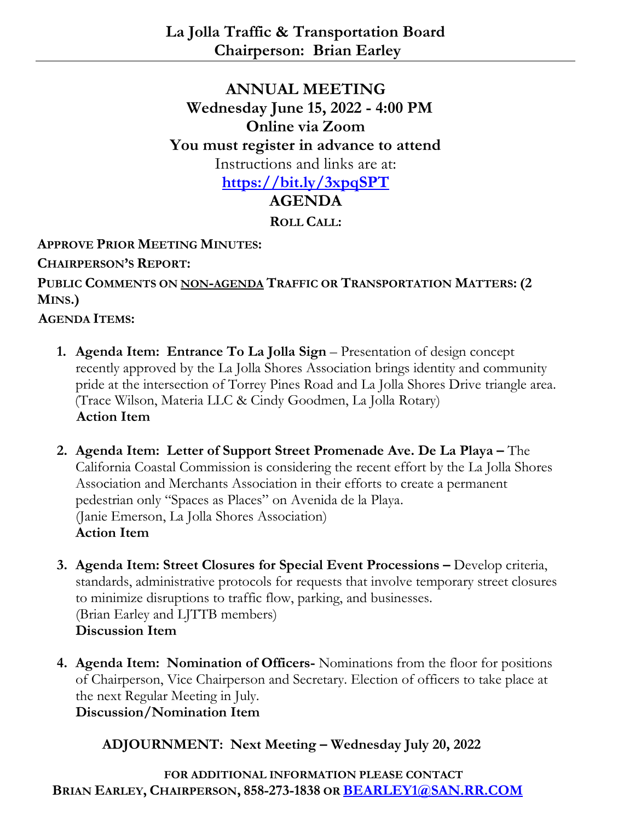## **ANNUAL MEETING Wednesday June 15, 2022 - 4:00 PM Online via Zoom You must register in advance to attend** Instructions and links are at: **<https://bit.ly/3xpqSPT> AGENDA**

**ROLL CALL:**

**APPROVE PRIOR MEETING MINUTES:**

**CHAIRPERSON'S REPORT:**

**PUBLIC COMMENTS ON NON-AGENDA TRAFFIC OR TRANSPORTATION MATTERS: (2 MINS.)**

**AGENDA ITEMS:**

- **1. Agenda Item: Entrance To La Jolla Sign** Presentation of design concept recently approved by the La Jolla Shores Association brings identity and community pride at the intersection of Torrey Pines Road and La Jolla Shores Drive triangle area. (Trace Wilson, Materia LLC & Cindy Goodmen, La Jolla Rotary) **Action Item**
- **2. Agenda Item: Letter of Support Street Promenade Ave. De La Playa –** The California Coastal Commission is considering the recent effort by the La Jolla Shores Association and Merchants Association in their efforts to create a permanent pedestrian only "Spaces as Places" on Avenida de la Playa. (Janie Emerson, La Jolla Shores Association) **Action Item**
- **3. Agenda Item: Street Closures for Special Event Processions –** Develop criteria, standards, administrative protocols for requests that involve temporary street closures to minimize disruptions to traffic flow, parking, and businesses. (Brian Earley and LJTTB members) **Discussion Item**
- **4. Agenda Item: Nomination of Officers-** Nominations from the floor for positions of Chairperson, Vice Chairperson and Secretary. Election of officers to take place at the next Regular Meeting in July.

**Discussion/Nomination Item**

**ADJOURNMENT: Next Meeting – Wednesday July 20, 2022**

**FOR ADDITIONAL INFORMATION PLEASE CONTACT BRIAN EARLEY, CHAIRPERSON, 858-273-1838 OR [BEARLEY1@SAN.RR.COM](mailto:BEARLEY1@SAN.RR.COM)**